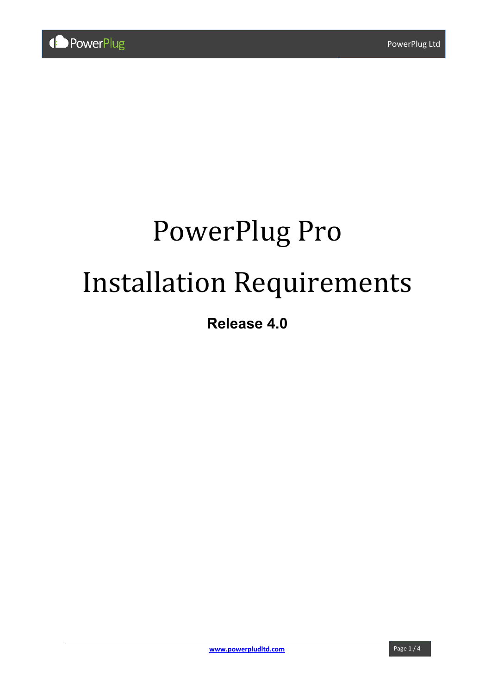# PowerPlug Pro Installation Requirements

# **Release 4.0**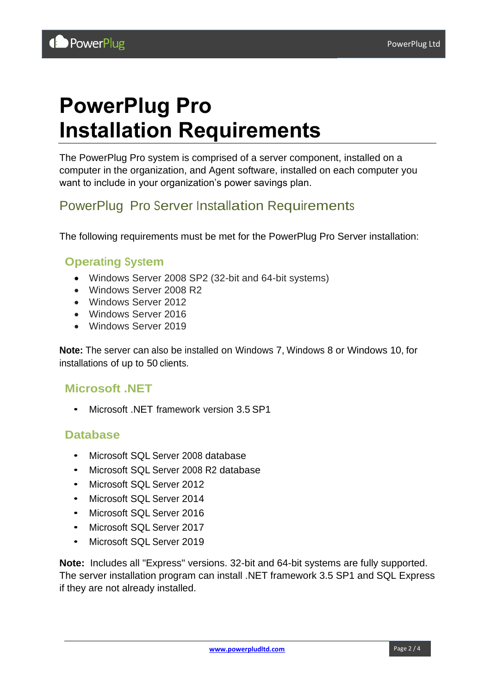# **PowerPlug Pro Installation Requirements**

The PowerPlug Pro system is comprised of a server component, installed on a computer in the organization, and Agent software, installed on each computer you want to include in your organization's power savings plan.

## PowerPlug Pro Server Installation Requirements

The following requirements must be met for the PowerPlug Pro Server installation:

#### **Operating System**

- Windows Server 2008 SP2 (32-bit and 64-bit systems)
- Windows Server 2008 R2
- Windows Server 2012
- Windows Server 2016
- Windows Server 2019

**Note:** The server can also be installed on Windows 7, Windows 8 or Windows 10, for installations of up to 50 clients.

#### **Microsoft .NET**

• Microsoft .NET framework version 3.5 SP1

#### **Database**

- Microsoft SQL Server 2008 database
- Microsoft SQL Server 2008 R2 database
- Microsoft SQL Server 2012
- Microsoft SQL Server 2014
- Microsoft SQL Server 2016
- Microsoft SQL Server 2017
- Microsoft SQL Server 2019

**Note:** Includes all "Express" versions. 32-bit and 64-bit systems are fully supported. The server installation program can install .NET framework 3.5 SP1 and SQL Express if they are not already installed.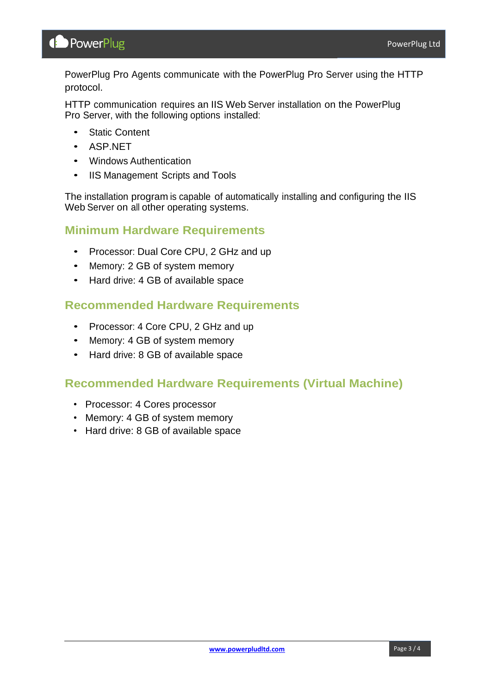PowerPlug Pro Agents communicate with the PowerPlug Pro Server using the HTTP protocol.

HTTP communication requires an IIS Web Server installation on the PowerPlug Pro Server, with the following options installed:

- Static Content
- ASP.NET
- Windows Authentication
- IIS Management Scripts and Tools

The installation program is capable of automatically installing and configuring the IIS Web Server on all other operating systems.

#### **Minimum Hardware Requirements**

- Processor: Dual Core CPU, 2 GHz and up
- Memory: 2 GB of system memory
- Hard drive: 4 GB of available space

#### **Recommended Hardware Requirements**

- Processor: 4 Core CPU, 2 GHz and up
- Memory: 4 GB of system memory
- Hard drive: 8 GB of available space

#### **Recommended Hardware Requirements (Virtual Machine)**

- Processor: 4 Cores processor
- Memory: 4 GB of system memory
- Hard drive: 8 GB of available space